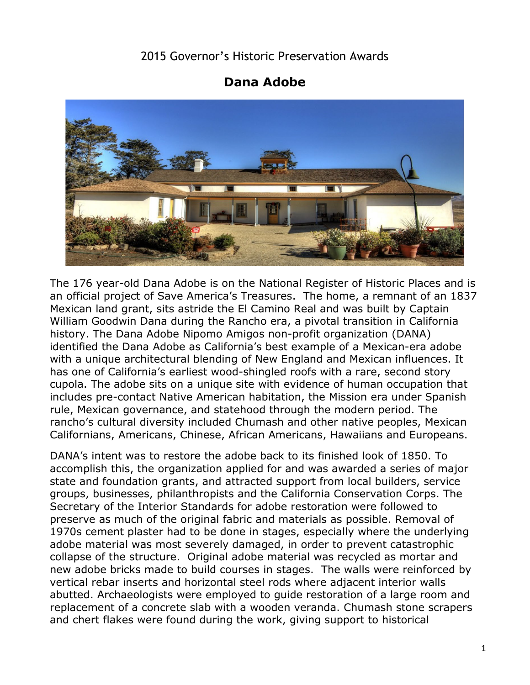## 2015 Governor's Historic Preservation Awards

## **Dana Adobe**



 history. The Dana Adobe Nipomo Amigos non-profit organization (DANA) The 176 year-old Dana Adobe is on the National Register of Historic Places and is an official project of Save America's Treasures. The home, a remnant of an 1837 Mexican land grant, sits astride the El Camino Real and was built by Captain William Goodwin Dana during the Rancho era, a pivotal transition in California identified the Dana Adobe as California's best example of a Mexican-era adobe with a unique architectural blending of New England and Mexican influences. It has one of California's earliest wood-shingled roofs with a rare, second story cupola. The adobe sits on a unique site with evidence of human occupation that includes pre-contact Native American habitation, the Mission era under Spanish rule, Mexican governance, and statehood through the modern period. The rancho's cultural diversity included Chumash and other native peoples, Mexican Californians, Americans, Chinese, African Americans, Hawaiians and Europeans.

 DANA's intent was to restore the adobe back to its finished look of 1850. To accomplish this, the organization applied for and was awarded a series of major state and foundation grants, and attracted support from local builders, service groups, businesses, philanthropists and the California Conservation Corps. The Secretary of the Interior Standards for adobe restoration were followed to preserve as much of the original fabric and materials as possible. Removal of 1970s cement plaster had to be done in stages, especially where the underlying adobe material was most severely damaged, in order to prevent catastrophic collapse of the structure. Original adobe material was recycled as mortar and new adobe bricks made to build courses in stages. The walls were reinforced by vertical rebar inserts and horizontal steel rods where adjacent interior walls abutted. Archaeologists were employed to guide restoration of a large room and replacement of a concrete slab with a wooden veranda. Chumash stone scrapers and chert flakes were found during the work, giving support to historical